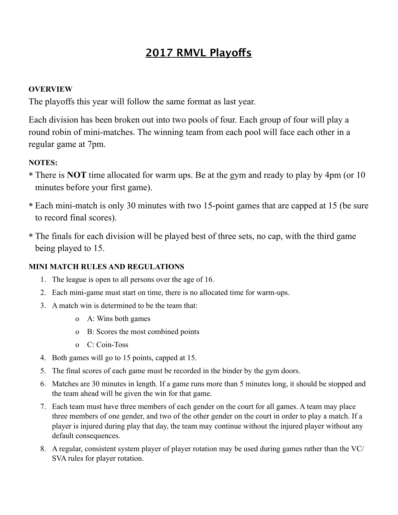## **2017 RMVL Playofs**

## **OVERVIEW**

The playoffs this year will follow the same format as last year.

Each division has been broken out into two pools of four. Each group of four will play a round robin of mini-matches. The winning team from each pool will face each other in a regular game at 7pm.

## **NOTES:**

- \* There is **NOT** time allocated for warm ups. Be at the gym and ready to play by 4pm (or 10 minutes before your first game).
- \* Each mini-match is only 30 minutes with two 15-point games that are capped at 15 (be sure to record final scores).
- \* The finals for each division will be played best of three sets, no cap, with the third game being played to 15.

## **MINI MATCH RULES AND REGULATIONS**

- 1. The league is open to all persons over the age of 16.
- 2. Each mini-game must start on time, there is no allocated time for warm-ups.
- 3. A match win is determined to be the team that:
	- o A: Wins both games
	- o B: Scores the most combined points
	- o C: Coin-Toss
- 4. Both games will go to 15 points, capped at 15.
- 5. The final scores of each game must be recorded in the binder by the gym doors.
- 6. Matches are 30 minutes in length. If a game runs more than 5 minutes long, it should be stopped and the team ahead will be given the win for that game.
- 7. Each team must have three members of each gender on the court for all games. A team may place three members of one gender, and two of the other gender on the court in order to play a match. If a player is injured during play that day, the team may continue without the injured player without any default consequences.
- 8. A regular, consistent system player of player rotation may be used during games rather than the VC/ SVA rules for player rotation.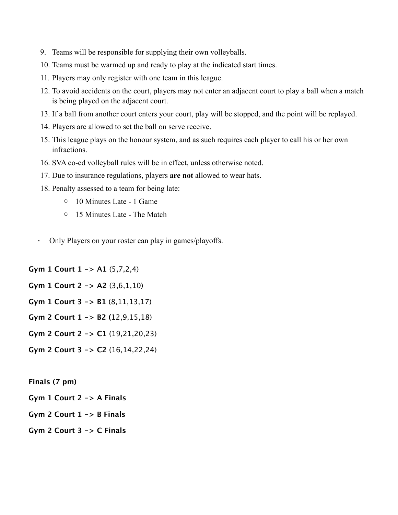- 9. Teams will be responsible for supplying their own volleyballs.
- 10. Teams must be warmed up and ready to play at the indicated start times.
- 11. Players may only register with one team in this league.
- 12. To avoid accidents on the court, players may not enter an adjacent court to play a ball when a match is being played on the adjacent court.
- 13. If a ball from another court enters your court, play will be stopped, and the point will be replayed.
- 14. Players are allowed to set the ball on serve receive.
- 15. This league plays on the honour system, and as such requires each player to call his or her own infractions.
- 16. SVA co-ed volleyball rules will be in effect, unless otherwise noted.
- 17. Due to insurance regulations, players **are not** allowed to wear hats.
- 18. Penalty assessed to a team for being late:
	- o 10 Minutes Late 1 Game
	- o 15 Minutes Late The Match
- · Only Players on your roster can play in games/playoffs.

**Gym 1 Court 1 -> A1** (5,7,2,4)

**Gym 1 Court 2 -> A2** (3,6,1,10)

**Gym 1 Court 3 -> B1** (8,11,13,17)

- **Gym 2 Court 1 -> B2 (**12,9,15,18)
- **Gym 2 Court 2 -> C1** (19,21,20,23)
- **Gym 2 Court 3 -> C2** (16,14,22,24)

**Finals (7 pm)**

- **Gym 1 Court 2 -> A Finals**
- **Gym 2 Court 1 -> B Finals**
- **Gym 2 Court 3 -> C Finals**